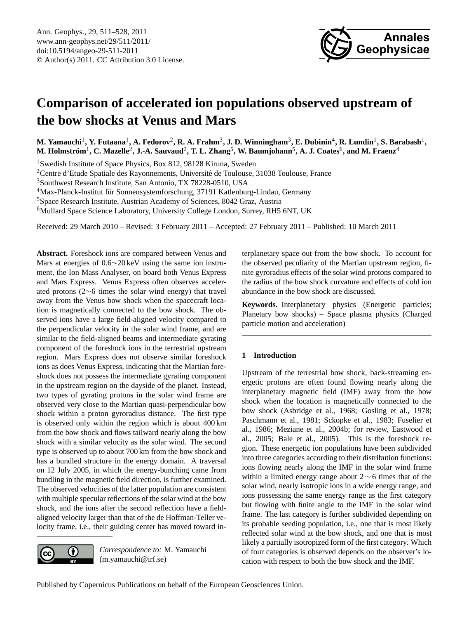

# <span id="page-0-0"></span>**Comparison of accelerated ion populations observed upstream of the bow shocks at Venus and Mars**

M. Yamauchi<sup>1</sup>, Y. Futaana<sup>1</sup>, A. Fedorov<sup>2</sup>, R. A. Frahm<sup>3</sup>, J. D. Winningham<sup>3</sup>, E. Dubinin<sup>4</sup>, R. Lundin<sup>1</sup>, S. Barabash<sup>1</sup>,  $\bf{M.}$  Holmström $^1$ , C. Mazelle $^2$ , J.-A. Sauvaud $^2$ , T. L. Zhang $^5$ , W. Baumjohann $^5$ , A. J. Coates $^6$ , and M. Fraenz $^4$ 

<sup>1</sup>Swedish Institute of Space Physics, Box 812, 98128 Kiruna, Sweden

<sup>2</sup>Centre d'Etude Spatiale des Rayonnements, Université de Toulouse, 31038 Toulouse, France

<sup>3</sup>Southwest Research Institute, San Antonio, TX 78228-0510, USA

<sup>4</sup>Max-Planck-Institut fur Sonnensystemforschung, 37191 Katlenburg-Lindau, Germany ¨

<sup>5</sup>Space Research Institute, Austrian Academy of Sciences, 8042 Graz, Austria

<sup>6</sup>Mullard Space Science Laboratory, University College London, Surrey, RH5 6NT, UK

Received: 29 March 2010 – Revised: 3 February 2011 – Accepted: 27 February 2011 – Published: 10 March 2011

**Abstract.** Foreshock ions are compared between Venus and Mars at energies of 0.6∼20 keV using the same ion instrument, the Ion Mass Analyser, on board both Venus Express and Mars Express. Venus Express often observes accelerated protons (2∼6 times the solar wind energy) that travel away from the Venus bow shock when the spacecraft location is magnetically connected to the bow shock. The observed ions have a large field-aligned velocity compared to the perpendicular velocity in the solar wind frame, and are similar to the field-aligned beams and intermediate gyrating component of the foreshock ions in the terrestrial upstream region. Mars Express does not observe similar foreshock ions as does Venus Express, indicating that the Martian foreshock does not possess the intermediate gyrating component in the upstream region on the dayside of the planet. Instead, two types of gyrating protons in the solar wind frame are observed very close to the Martian quasi-perpendicular bow shock within a proton gyroradius distance. The first type is observed only within the region which is about 400 km from the bow shock and flows tailward nearly along the bow shock with a similar velocity as the solar wind. The second type is observed up to about 700 km from the bow shock and has a bundled structure in the energy domain. A traversal on 12 July 2005, in which the energy-bunching came from bundling in the magnetic field direction, is further examined. The observed velocities of the latter population are consistent with multiple specular reflections of the solar wind at the bow shock, and the ions after the second reflection have a fieldaligned velocity larger than that of the de Hoffman-Teller velocity frame, i.e., their guiding center has moved toward in-



*Correspondence to:* M. Yamauchi (m.yamauchi@irf.se)

terplanetary space out from the bow shock. To account for the observed peculiarity of the Martian upstream region, finite gyroradius effects of the solar wind protons compared to the radius of the bow shock curvature and effects of cold ion abundance in the bow shock are discussed.

**Keywords.** Interplanetary physics (Energetic particles; Planetary bow shocks) – Space plasma physics (Charged particle motion and acceleration)

# **1 Introduction**

Upstream of the terrestrial bow shock, back-streaming energetic protons are often found flowing nearly along the interplanetary magnetic field (IMF) away from the bow shock when the location is magnetically connected to the bow shock (Asbridge et al., 1968; Gosling et al., 1978; Paschmann et al., 1981; Sckopke et al., 1983; Fuselier et al., 1986; Meziane et al., 2004b; for review, Eastwood et al., 2005; Bale et al., 2005). This is the foreshock region. These energetic ion populations have been subdivided into three categories according to their distribution functions: ions flowing nearly along the IMF in the solar wind frame within a limited energy range about 2∼6 times that of the solar wind, nearly isotropic ions in a wide energy range, and ions possessing the same energy range as the first category but flowing with finite angle to the IMF in the solar wind frame. The last category is further subdivided depending on its probable seeding population, i.e., one that is most likely reflected solar wind at the bow shock, and one that is most likely a partially isotropized form of the first category. Which of four categories is observed depends on the observer's location with respect to both the bow shock and the IMF.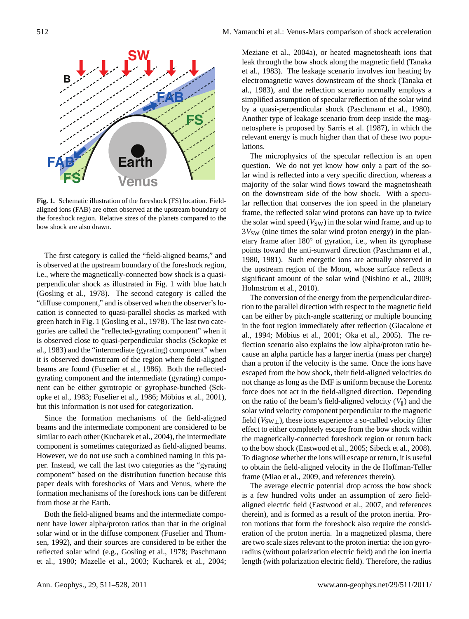

**Fig. 1.** Schematic illustration of the foreshock (FS) location. Fieldaligned ions (FAB) are often observed at the upstream boundary of the foreshock region. Relative sizes of the planets compared to the bow shock are also drawn.

The first category is called the "field-aligned beams," and is observed at the upstream boundary of the foreshock region, i.e., where the magnetically-connected bow shock is a quasiperpendicular shock as illustrated in Fig. 1 with blue hatch (Gosling et al., 1978). The second category is called the "diffuse component," and is observed when the observer's location is connected to quasi-parallel shocks as marked with green hatch in Fig. 1 (Gosling et al., 1978). The last two categories are called the "reflected-gyrating component" when it is observed close to quasi-perpendicular shocks (Sckopke et al., 1983) and the "intermediate (gyrating) component" when it is observed downstream of the region where field-aligned beams are found (Fuselier et al., 1986). Both the reflectedgyrating component and the intermediate (gyrating) component can be either gyrotropic or gyrophase-bunched (Sckopke et al., 1983; Fuselier et al., 1986; Möbius et al., 2001), but this information is not used for categorization.

Since the formation mechanisms of the field-aligned beams and the intermediate component are considered to be similar to each other (Kucharek et al., 2004), the intermediate component is sometimes categorized as field-aligned beams. However, we do not use such a combined naming in this paper. Instead, we call the last two categories as the "gyrating component" based on the distribution function because this paper deals with foreshocks of Mars and Venus, where the formation mechanisms of the foreshock ions can be different from those at the Earth.

Both the field-aligned beams and the intermediate component have lower alpha/proton ratios than that in the original solar wind or in the diffuse component (Fuselier and Thomsen, 1992), and their sources are considered to be either the reflected solar wind (e.g., Gosling et al., 1978; Paschmann et al., 1980; Mazelle et al., 2003; Kucharek et al., 2004; Meziane et al., 2004a), or heated magnetosheath ions that leak through the bow shock along the magnetic field (Tanaka et al., 1983). The leakage scenario involves ion heating by electromagnetic waves downstream of the shock (Tanaka et al., 1983), and the reflection scenario normally employs a simplified assumption of specular reflection of the solar wind by a quasi-perpendicular shock (Paschmann et al., 1980). Another type of leakage scenario from deep inside the magnetosphere is proposed by Sarris et al. (1987), in which the relevant energy is much higher than that of these two populations.

The microphysics of the specular reflection is an open question. We do not yet know how only a part of the solar wind is reflected into a very specific direction, whereas a majority of the solar wind flows toward the magnetosheath on the downstream side of the bow shock. With a specular reflection that conserves the ion speed in the planetary frame, the reflected solar wind protons can have up to twice the solar wind speed  $(V_{SW})$  in the solar wind frame, and up to  $3V_{SW}$  (nine times the solar wind proton energy) in the planetary frame after 180◦ of gyration, i.e., when its gyrophase points toward the anti-sunward direction (Paschmann et al., 1980, 1981). Such energetic ions are actually observed in the upstream region of the Moon, whose surface reflects a significant amount of the solar wind (Nishino et al., 2009; Holmström et al., 2010).

The conversion of the energy from the perpendicular direction to the parallel direction with respect to the magnetic field can be either by pitch-angle scattering or multiple bouncing in the foot region immediately after reflection (Giacalone et al., 1994; Möbius et al., 2001; Oka et al., 2005). The reflection scenario also explains the low alpha/proton ratio because an alpha particle has a larger inertia (mass per charge) than a proton if the velocity is the same. Once the ions have escaped from the bow shock, their field-aligned velocities do not change as long as the IMF is uniform because the Lorentz force does not act in the field-aligned direction. Depending on the ratio of the beam's field-aligned velocity  $(V_{\parallel})$  and the solar wind velocity component perpendicular to the magnetic field ( $V_{SW\perp}$ ), these ions experience a so-called velocity filter effect to either completely escape from the bow shock within the magnetically-connected foreshock region or return back to the bow shock (Eastwood et al., 2005; Sibeck et al., 2008). To diagnose whether the ions will escape or return, it is useful to obtain the field-aligned velocity in the de Hoffman-Teller frame (Miao et al., 2009, and references therein).

The average electric potential drop across the bow shock is a few hundred volts under an assumption of zero fieldaligned electric field (Eastwood et al., 2007, and references therein), and is formed as a result of the proton inertia. Proton motions that form the foreshock also require the consideration of the proton inertia. In a magnetized plasma, there are two scale sizes relevant to the proton inertia: the ion gyroradius (without polarization electric field) and the ion inertia length (with polarization electric field). Therefore, the radius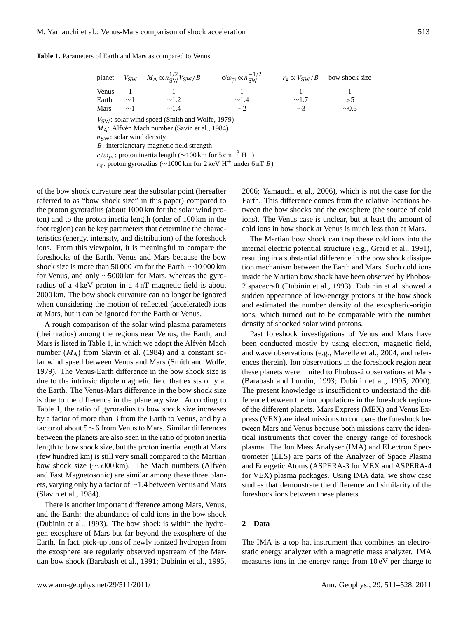**Table 1.** Parameters of Earth and Mars as compared to Venus.

|       |          | planet $V_{SW}$ $M_A \propto n_{SW}^{1/2} V_{SW}/B$ | $c/\omega_{\rm pi} \propto n_{\rm SW}^{-1/2}$ |            | $r_g \propto V_{\text{SW}}/B$ bow shock size |
|-------|----------|-----------------------------------------------------|-----------------------------------------------|------------|----------------------------------------------|
| Venus |          |                                                     |                                               |            |                                              |
| Earth | $\sim$ 1 | $\sim$ 1.2                                          | $\sim$ 1.4                                    | $\sim$ 1.7 | $>$ 5                                        |
| Mars  | $\sim$ 1 | $\sim$ 1.4                                          | $\sim$                                        | $\sim$ 3   | $\sim 0.5$                                   |

 $V_{SW}$ : solar wind speed (Smith and Wolfe, 1979)

 $M_A$ : Alfvén Mach number (Savin et al., 1984)

 $n_{SW}$ : solar wind density

B: interplanetary magnetic field strength

 $c/\omega_{pi}$ : proton inertia length (∼100 km for 5 cm $^{-3}$  H<sup>+</sup>)

 $r_g$ : proton gyroradius (∼1000 km for 2 keV H<sup>+</sup> under 6 nT B)

of the bow shock curvature near the subsolar point (hereafter referred to as "bow shock size" in this paper) compared to the proton gyroradius (about 1000 km for the solar wind proton) and to the proton inertia length (order of 100 km in the foot region) can be key parameters that determine the characteristics (energy, intensity, and distribution) of the foreshock ions. From this viewpoint, it is meaningful to compare the foreshocks of the Earth, Venus and Mars because the bow shock size is more than 50 000 km for the Earth, ∼10 000 km for Venus, and only ∼5000 km for Mars, whereas the gyroradius of a 4 keV proton in a 4 nT magnetic field is about 2000 km. The bow shock curvature can no longer be ignored when considering the motion of reflected (accelerated) ions at Mars, but it can be ignored for the Earth or Venus.

A rough comparison of the solar wind plasma parameters (their ratios) among the regions near Venus, the Earth, and Mars is listed in Table 1, in which we adopt the Alfvén Mach number  $(M_A)$  from Slavin et al. (1984) and a constant solar wind speed between Venus and Mars (Smith and Wolfe, 1979). The Venus-Earth difference in the bow shock size is due to the intrinsic dipole magnetic field that exists only at the Earth. The Venus-Mars difference in the bow shock size is due to the difference in the planetary size. According to Table 1, the ratio of gyroradius to bow shock size increases by a factor of more than 3 from the Earth to Venus, and by a factor of about 5∼6 from Venus to Mars. Similar differences between the planets are also seen in the ratio of proton inertia length to bow shock size, but the proton inertia length at Mars (few hundred km) is still very small compared to the Martian bow shock size (∼5000 km). The Mach numbers (Alfvén and Fast Magnetosonic) are similar among these three planets, varying only by a factor of ∼1.4 between Venus and Mars (Slavin et al., 1984).

There is another important difference among Mars, Venus, and the Earth: the abundance of cold ions in the bow shock (Dubinin et al., 1993). The bow shock is within the hydrogen exosphere of Mars but far beyond the exosphere of the Earth. In fact, pick-up ions of newly ionized hydrogen from the exosphere are regularly observed upstream of the Martian bow shock (Barabash et al., 1991; Dubinin et al., 1995, 2006; Yamauchi et al., 2006), which is not the case for the Earth. This difference comes from the relative locations between the bow shocks and the exosphere (the source of cold ions). The Venus case is unclear, but at least the amount of cold ions in bow shock at Venus is much less than at Mars.

The Martian bow shock can trap these cold ions into the internal electric potential structure (e.g., Grard et al., 1991), resulting in a substantial difference in the bow shock dissipation mechanism between the Earth and Mars. Such cold ions inside the Martian bow shock have been observed by Phobos-2 spacecraft (Dubinin et al., 1993). Dubinin et al. showed a sudden appearance of low-energy protons at the bow shock and estimated the number density of the exospheric-origin ions, which turned out to be comparable with the number density of shocked solar wind protons.

Past foreshock investigations of Venus and Mars have been conducted mostly by using electron, magnetic field, and wave observations (e.g., Mazelle et al., 2004, and references therein). Ion observations in the foreshock region near these planets were limited to Phobos-2 observations at Mars (Barabash and Lundin, 1993; Dubinin et al., 1995, 2000). The present knowledge is insufficient to understand the difference between the ion populations in the foreshock regions of the different planets. Mars Express (MEX) and Venus Express (VEX) are ideal missions to compare the foreshock between Mars and Venus because both missions carry the identical instruments that cover the energy range of foreshock plasma. The Ion Mass Analyser (IMA) and ELectron Spectrometer (ELS) are parts of the Analyzer of Space Plasma and Energetic Atoms (ASPERA-3 for MEX and ASPERA-4 for VEX) plasma packages. Using IMA data, we show case studies that demonstrate the difference and similarity of the foreshock ions between these planets.

# **2 Data**

The IMA is a top hat instrument that combines an electrostatic energy analyzer with a magnetic mass analyzer. IMA measures ions in the energy range from 10 eV per charge to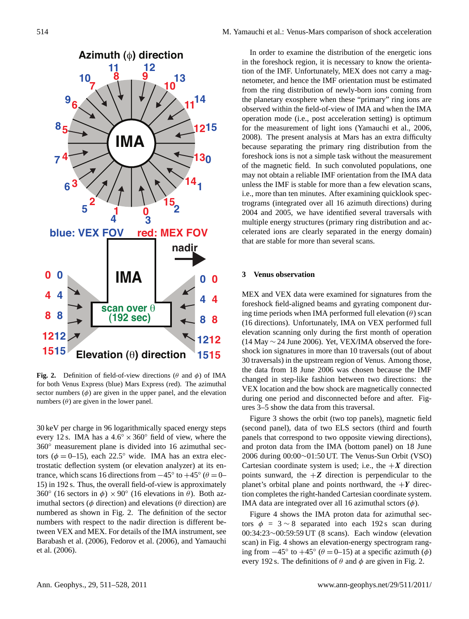

**Fig. 2.** Definition of field-of-view directions ( $\theta$  and  $\phi$ ) of IMA for both Venus Express (blue) Mars Express (red). The azimuthal sector numbers  $(\phi)$  are given in the upper panel, and the elevation numbers  $(\theta)$  are given in the lower panel.

30 keV per charge in 96 logarithmically spaced energy steps every 12 s. IMA has a  $4.6^{\circ} \times 360^{\circ}$  field of view, where the 360◦ measurement plane is divided into 16 azimuthal sectors ( $\phi = 0$ –15), each 22.5° wide. IMA has an extra electrostatic deflection system (or elevation analyzer) at its entrance, which scans 16 directions from  $-45^\circ$  to  $+45^\circ$  ( $\theta = 0$ -15) in 192 s. Thus, the overall field-of-view is approximately 360° (16 sectors in  $\phi$ ) × 90° (16 elevations in  $\theta$ ). Both azimuthal sectors ( $\phi$  direction) and elevations ( $\theta$  direction) are numbered as shown in Fig. 2. The definition of the sector numbers with respect to the nadir direction is different between VEX and MEX. For details of the IMA instrument, see Barabash et al. (2006), Fedorov et al. (2006), and Yamauchi et al. (2006).

In order to examine the distribution of the energetic ions in the foreshock region, it is necessary to know the orientation of the IMF. Unfortunately, MEX does not carry a magnetometer, and hence the IMF orientation must be estimated from the ring distribution of newly-born ions coming from the planetary exosphere when these "primary" ring ions are observed within the field-of-view of IMA and when the IMA operation mode (i.e., post acceleration setting) is optimum for the measurement of light ions (Yamauchi et al., 2006, 2008). The present analysis at Mars has an extra difficulty because separating the primary ring distribution from the foreshock ions is not a simple task without the measurement of the magnetic field. In such convoluted populations, one may not obtain a reliable IMF orientation from the IMA data unless the IMF is stable for more than a few elevation scans, i.e., more than ten minutes. After examining quicklook spectrograms (integrated over all 16 azimuth directions) during 2004 and 2005, we have identified several traversals with multiple energy structures (primary ring distribution and accelerated ions are clearly separated in the energy domain) that are stable for more than several scans.

# **3 Venus observation**

MEX and VEX data were examined for signatures from the foreshock field-aligned beams and gyrating component during time periods when IMA performed full elevation  $(\theta)$  scan (16 directions). Unfortunately, IMA on VEX performed full elevation scanning only during the first month of operation (14 May ∼ 24 June 2006). Yet, VEX/IMA observed the foreshock ion signatures in more than 10 traversals (out of about 30 traversals) in the upstream region of Venus. Among those, the data from 18 June 2006 was chosen because the IMF changed in step-like fashion between two directions: the VEX location and the bow shock are magnetically connected during one period and disconnected before and after. Figures 3–5 show the data from this traversal.

Figure 3 shows the orbit (two top panels), magnetic field (second panel), data of two ELS sectors (third and fourth panels that correspond to two opposite viewing directions), and proton data from the IMA (bottom panel) on 18 June 2006 during 00:00∼01:50 UT. The Venus-Sun Orbit (VSO) Cartesian coordinate system is used; i.e., the  $+X$  direction points sunward, the  $+Z$  direction is perpendicular to the planet's orbital plane and points northward, the  $+Y$  direction completes the right-handed Cartesian coordinate system. IMA data are integrated over all 16 azimuthal sctors  $(\phi)$ .

Figure 4 shows the IMA proton data for azimuthal sectors  $\phi = 3 \sim 8$  separated into each 192s scan during 00:34:23∼00:59:59 UT (8 scans). Each window (elevation scan) in Fig. 4 shows an elevation-energy spectrogram ranging from  $-45^\circ$  to  $+45^\circ$  ( $\theta = 0$ -15) at a specific azimuth ( $\phi$ ) every 192 s. The definitions of  $\theta$  and  $\phi$  are given in Fig. 2.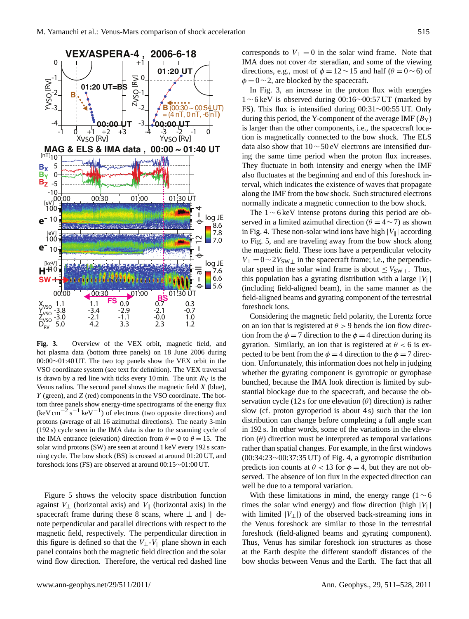

**Fig. 3.** Overview of the VEX orbit, magnetic field, and hot plasma data (bottom three panels) on 18 June 2006 during 00:00∼01:40 UT. The two top panels show the VEX orbit in the VSO coordinate system (see text for definition). The VEX traversal is drawn by a red line with ticks every 10 min. The unit  $R_V$  is the Venus radius. The second panel shows the magnetic field  $X$  (blue), Y (green), and Z (red) components in the VSO coordinate. The bottom three panels show energy-time spectrograms of the energy flux  $(\text{keV cm}^{-2} \text{ s}^{-1} \text{ keV}^{-1})$  of electrons (two opposite directions) and protons (average of all 16 azimuthal directions). The nearly 3-min (192 s) cycle seen in the IMA data is due to the scanning cycle of the IMA entrance (elevation) direction from  $\theta = 0$  to  $\theta = 15$ . The solar wind protons (SW) are seen at around 1 keV every 192 s scanning cycle. The bow shock (BS) is crossed at around 01:20 UT, and foreshock ions (FS) are observed at around 00:15∼01:00 UT.

Figure 5 shows the velocity space distribution function against  $V_{\perp}$  (horizontal axis) and  $V_{\parallel}$  (horizontal axis) in the spacecraft frame during these 8 scans, where  $\perp$  and  $\parallel$  denote perpendicular and parallel directions with respect to the magnetic field, respectively. The perpendicular direction in this figure is defined so that the  $V_{\perp}$ - $V_{\parallel}$  plane shown in each panel contains both the magnetic field direction and the solar wind flow direction. Therefore, the vertical red dashed line corresponds to  $V_{\perp} = 0$  in the solar wind frame. Note that IMA does not cover  $4\pi$  steradian, and some of the viewing directions, e.g., most of  $\phi = 12 \sim 15$  and half ( $\theta = 0 \sim 6$ ) of  $\phi = 0$  ~ 2, are blocked by the spacecraft.

In Fig. 3, an increase in the proton flux with energies 1 ∼ 6 keV is observed during 00:16∼00:57 UT (marked by FS). This flux is intensified during 00:31∼00:55 UT. Only during this period, the Y-component of the average IMF  $(B_Y)$ is larger than the other components, i.e., the spacecraft location is magnetically connected to the bow shock. The ELS data also show that 10∼50 eV electrons are intensified during the same time period when the proton flux increases. They fluctuate in both intensity and energy when the IMF also fluctuates at the beginning and end of this foreshock interval, which indicates the existence of waves that propagate along the IMF from the bow shock. Such structured electrons normally indicate a magnetic connection to the bow shock.

The 1∼6 keV intense protons during this period are observed in a limited azimuthal direction ( $\theta = 4 \sim 7$ ) as shown in Fig. 4. These non-solar wind ions have high  $|V_{\parallel}|$  according to Fig. 5, and are traveling away from the bow shock along the magnetic field. These ions have a perpendicular velocity  $V_{\perp} = 0 \sim 2V_{\text{SW}+}$  in the spacecraft frame; i.e., the perpendicular speed in the solar wind frame is about  $\leq V_{SW\perp}$ . Thus, this population has a gyrating distribution with a large  $|V_{\parallel}|$ (including field-aligned beam), in the same manner as the field-aligned beams and gyrating component of the terrestrial foreshock ions.

Considering the magnetic field polarity, the Lorentz force on an ion that is registered at  $\theta > 9$  bends the ion flow direction from the  $\phi = 7$  direction to the  $\phi = 4$  direction during its gyration. Similarly, an ion that is registered at  $\theta < 6$  is expected to be bent from the  $\phi = 4$  direction to the  $\phi = 7$  direction. Unfortunately, this information does not help in judging whether the gyrating component is gyrotropic or gyrophase bunched, because the IMA look direction is limited by substantial blockage due to the spacecraft, and because the observation cycle (12 s for one elevation  $(\theta)$  direction) is rather slow (cf. proton gyroperiod is about 4 s) such that the ion distribution can change before completing a full angle scan in 192 s. In other words, some of the variations in the elevation  $(\theta)$  direction must be interpreted as temporal variations rather than spatial changes. For example, in the first windows (00:34:23∼00:37:35 UT) of Fig. 4, a gyrotropic distribution predicts ion counts at  $\theta$  < 13 for  $\phi$  = 4, but they are not observed. The absence of ion flux in the expected direction can well be due to a temporal variation.

With these limitations in mind, the energy range ( $1 \sim 6$ ) times the solar wind energy) and flow direction (high  $|V_{\parallel}|$ ) with limited  $|V_\perp|$ ) of the observed back-streaming ions in the Venus foreshock are similar to those in the terrestrial foreshock (field-aligned beams and gyrating component). Thus, Venus has similar foreshock ion structures as those at the Earth despite the different standoff distances of the bow shocks between Venus and the Earth. The fact that all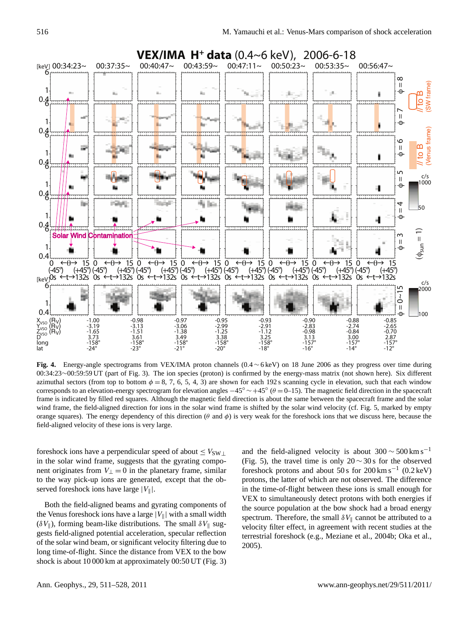

**Fig. 4.** Energy-angle spectrograms from VEX/IMA proton channels (0.4∼6 keV) on 18 June 2006 as they progress over time during 00:34:23∼00:59:59 UT (part of Fig. 3). The ion species (proton) is confirmed by the energy-mass matrix (not shown here). Six different azimuthal sectors (from top to bottom  $\phi = 8, 7, 6, 5, 4, 3$ ) are shown for each 192 s scanning cycle in elevation, such that each window corresponds to an elevation-energy spectrogram for elevation angles  $-45° \sim +45°$  ( $\theta = 0$ –15). The magnetic field direction in the spacecraft frame is indicated by filled red squares. Although the magnetic field direction is about the same between the spacecraft frame and the solar wind frame, the field-aligned direction for ions in the solar wind frame is shifted by the solar wind velocity (cf. Fig. 5, marked by empty orange squares). The energy dependency of this direction ( $\theta$  and  $\phi$ ) is very weak for the foreshock ions that we discuss here, because the field-aligned velocity of these ions is very large.

foreshock ions have a perpendicular speed of about  $\leq V_{SW\perp}$ in the solar wind frame, suggests that the gyrating component originates from  $V_{\perp} = 0$  in the planetary frame, similar to the way pick-up ions are generated, except that the observed foreshock ions have large  $|V_{\parallel}|$ .

Both the field-aligned beams and gyrating components of the Venus foreshock ions have a large  $|V_{\parallel}|$  with a small width  $(\delta V_{\parallel})$ , forming beam-like distributions. The small  $\delta V_{\parallel}$  suggests field-aligned potential acceleration, specular reflection of the solar wind beam, or significant velocity filtering due to long time-of-flight. Since the distance from VEX to the bow shock is about 10 000 km at approximately 00:50 UT (Fig. 3)

and the field-aligned velocity is about  $300 \sim 500 \text{ km s}^{-1}$ (Fig. 5), the travel time is only  $20 \sim 30$  s for the observed foreshock protons and about 50 s for  $200 \text{ km s}^{-1}$  (0.2 keV) protons, the latter of which are not observed. The difference in the time-of-flight between these ions is small enough for VEX to simultaneously detect protons with both energies if the source population at the bow shock had a broad energy spectrum. Therefore, the small  $\delta V_{\parallel}$  cannot be attributed to a velocity filter effect, in agreement with recent studies at the terrestrial foreshock (e.g., Meziane et al., 2004b; Oka et al., 2005).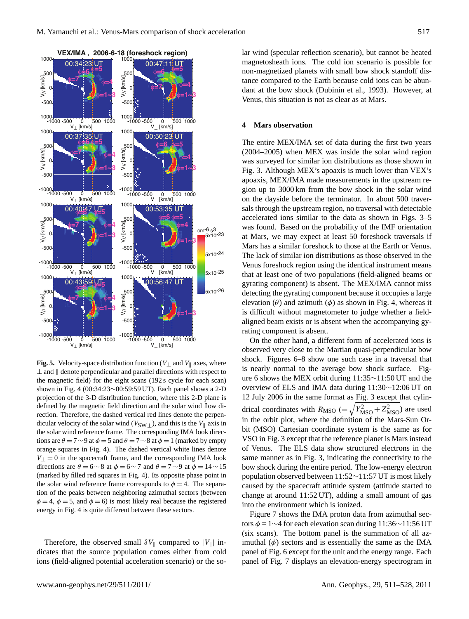

**Fig. 5.** Velocity-space distribution function ( $V_{\perp}$  and  $V_{\parallel}$  axes, where  $\perp$  and  $\parallel$  denote perpendicular and parallel directions with respect to the magnetic field) for the eight scans (192 s cycle for each scan) shown in Fig. 4 (00:34:23∼00:59:59 UT). Each panel shows a 2-D projection of the 3-D distribution function, where this 2-D plane is defined by the magnetic field direction and the solar wind flow direction. Therefore, the dashed vertical red lines denote the perpendicular velocity of the solar wind ( $V_{SW\perp}$ ), and this is the  $V_{\parallel}$  axis in the solar wind reference frame. The corresponding IMA look directions are  $\theta = 7 \sim 9$  at  $\phi = 5$  and  $\theta = 7 \sim 8$  at  $\phi = 1$  (marked by empty orange squares in Fig. 4). The dashed vertical white lines denote  $V_{\perp} = 0$  in the spacecraft frame, and the corresponding IMA look directions are  $\theta = 6 \sim 8$  at  $\phi = 6 \sim 7$  and  $\theta = 7 \sim 9$  at  $\phi = 14 \sim 15$ (marked by filled red squares in Fig. 4). Its opposite phase point in the solar wind reference frame corresponds to  $\phi = 4$ . The separation of the peaks between neighboring azimuthal sectors (between  $\phi = 4$ ,  $\phi = 5$ , and  $\phi = 6$ ) is most likely real because the registered energy in Fig. 4 is quite different between these sectors.

Therefore, the observed small  $\delta V_{\parallel}$  compared to  $|V_{\parallel}|$  indicates that the source population comes either from cold ions (field-aligned potential acceleration scenario) or the solar wind (specular reflection scenario), but cannot be heated magnetosheath ions. The cold ion scenario is possible for non-magnetized planets with small bow shock standoff distance compared to the Earth because cold ions can be abundant at the bow shock (Dubinin et al., 1993). However, at Venus, this situation is not as clear as at Mars.

# **4 Mars observation**

The entire MEX/IMA set of data during the first two years (2004–2005) when MEX was inside the solar wind region was surveyed for similar ion distributions as those shown in Fig. 3. Although MEX's apoaxis is much lower than VEX's apoaxis, MEX/IMA made measurements in the upstream region up to 3000 km from the bow shock in the solar wind on the dayside before the terminator. In about 500 traversals through the upstream region, no traversal with detectable accelerated ions similar to the data as shown in Figs. 3–5 was found. Based on the probability of the IMF orientation at Mars, we may expect at least 50 foreshock traversals if Mars has a similar foreshock to those at the Earth or Venus. The lack of similar ion distributions as those observed in the Venus foreshock region using the identical instrument means that at least one of two populations (field-aligned beams or gyrating component) is absent. The MEX/IMA cannot miss detecting the gyrating component because it occupies a large elevation  $(\theta)$  and azimuth  $(\phi)$  as shown in Fig. 4, whereas it is difficult without magnetometer to judge whether a fieldaligned beam exists or is absent when the accompanying gyrating component is absent.

On the other hand, a different form of accelerated ions is observed very close to the Martian quasi-perpendicular bow shock. Figures 6–8 show one such case in a traversal that is nearly normal to the average bow shock surface. Figure 6 shows the MEX orbit during 11:35∼11:50 UT and the overview of ELS and IMA data during 11:30∼12:06 UT on 12 July 2006 in the same format as Fig. 3 except that cylindrical coordinates with  $R_{\rm MSO}$  ( $=\sqrt{Y_{\rm MSO}^2 + Z_{\rm MSO}^2}$ ) are used in the orbit plot, where the definition of the Mars-Sun Orbit (MSO) Cartesian coordinate system is the same as for VSO in Fig. 3 except that the reference planet is Mars instead of Venus. The ELS data show structured electrons in the same manner as in Fig. 3, indicating the connectivity to the bow shock during the entire period. The low-energy electron population observed between 11:52∼11:57 UT is most likely caused by the spacecraft attitude system (attitude started to change at around 11:52 UT), adding a small amount of gas into the environment which is ionized.

Figure 7 shows the IMA proton data from azimuthal sectors  $\phi = 1 \sim 4$  for each elevation scan during 11:36∼11:56 UT (six scans). The bottom panel is the summation of all azimuthal  $(\phi)$  sectors and is essentially the same as the IMA panel of Fig. 6 except for the unit and the energy range. Each panel of Fig. 7 displays an elevation-energy spectrogram in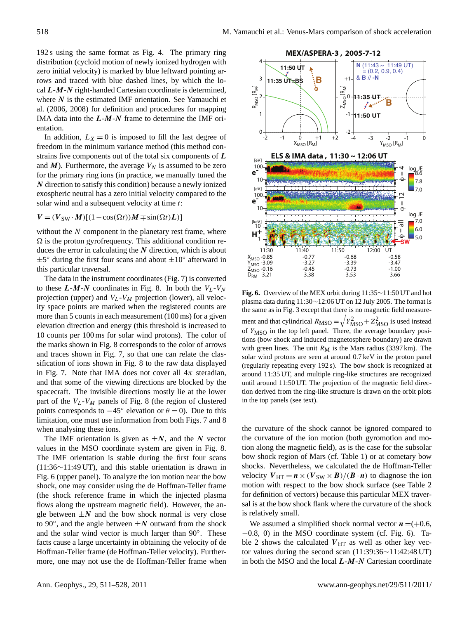192 s using the same format as Fig. 4. The primary ring distribution (cycloid motion of newly ionized hydrogen with zero initial velocity) is marked by blue leftward pointing arrows and traced with blue dashed lines, by which the local  $L-M-N$  right-handed Cartesian coordinate is determined, where  $N$  is the estimated IMF orientation. See Yamauchi et al. (2006, 2008) for definition and procedures for mapping IMA data into the  $L-M-N$  frame to determine the IMF orientation.

In addition,  $L_X = 0$  is imposed to fill the last degree of freedom in the minimum variance method (this method constrains five components out of the total six components of  $L$ and  $M$ ). Furthermore, the average  $V_N$  is assumed to be zero for the primary ring ions (in practice, we manually tuned the N direction to satisfy this condition) because a newly ionized exospheric neutral has a zero initial velocity compared to the solar wind and a subsequent velocity at time t:

$$
V = (V_{\text{SW}} \cdot M)[(1 - \cos(\Omega t))M \mp \sin(\Omega t)L)]
$$

without the  $N$  component in the planetary rest frame, where  $\Omega$  is the proton gyrofrequency. This additional condition reduces the error in calculating the  $N$  direction, which is about  $\pm 5^{\circ}$  during the first four scans and about  $\pm 10^{\circ}$  afterward in this particular traversal.

The data in the instrument coordinates (Fig. 7) is converted to these  $L-M-N$  coordinates in Fig. 8. In both the  $V_L-V_N$ projection (upper) and  $V_L$ - $V_M$  projection (lower), all velocity space points are marked when the registered counts are more than 5 counts in each measurement (100 ms) for a given elevation direction and energy (this threshold is increased to 10 counts per 100 ms for solar wind protons). The color of the marks shown in Fig. 8 corresponds to the color of arrows and traces shown in Fig. 7, so that one can relate the classification of ions shown in Fig. 8 to the raw data displayed in Fig. 7. Note that IMA does not cover all  $4\pi$  steradian, and that some of the viewing directions are blocked by the spacecraft. The invisible directions mostly lie at the lower part of the  $V_L$ - $V_M$  panels of Fig. 8 (the region of clustered points corresponds to  $-45^\circ$  elevation or  $\theta = 0$ ). Due to this limitation, one must use information from both Figs. 7 and 8 when analysing these ions.

The IMF orientation is given as  $\pm N$ , and the N vector values in the MSO coordinate system are given in Fig. 8. The IMF orientation is stable during the first four scans (11:36∼11:49 UT), and this stable orientation is drawn in Fig. 6 (upper panel). To analyze the ion motion near the bow shock, one may consider using the de Hoffman-Teller frame (the shock reference frame in which the injected plasma flows along the upstream magnetic field). However, the angle between  $\pm N$  and the bow shock normal is very close to 90 $^{\circ}$ , and the angle between  $\pm N$  outward from the shock and the solar wind vector is much larger than 90◦ . These facts cause a large uncertainty in obtaining the velocity of de Hoffman-Teller frame (de Hoffman-Teller velocity). Furthermore, one may not use the de Hoffman-Teller frame when



**Fig. 6.** Overview of the MEX orbit during 11:35∼11:50 UT and hot plasma data during 11:30∼12:06 UT on 12 July 2005. The format is the same as in Fig. 3 except that there is no magnetic field measurement and that cylindrical  $R_{\rm MSO} = \sqrt{Y_{\rm MSO}^2 + Z_{\rm MSO}^2}$  is used instead of  $Y_{\text{MSO}}$  in the top left panel. There, the average boundary positions (bow shock and induced magnetosphere boundary) are drawn with green lines. The unit  $R_M$  is the Mars radius (3397 km). The solar wind protons are seen at around 0.7 keV in the proton panel (regularly repeating every 192 s). The bow shock is recognized at around 11:35 UT, and multiple ring-like structures are recognized until around 11:50 UT. The projection of the magnetic field direction derived from the ring-like structure is drawn on the orbit plots in the top panels (see text).

the curvature of the shock cannot be ignored compared to the curvature of the ion motion (both gyromotion and motion along the magnetic field), as is the case for the subsolar bow shock region of Mars (cf. Table 1) or at cometary bow shocks. Nevertheless, we calculated the de Hoffman-Teller velocity  $V_{\text{HT}} = n \times (V_{\text{SW}} \times B)/(B \cdot n)$  to diagnose the ion motion with respect to the bow shock surface (see Table 2 for definition of vectors) because this particular MEX traversal is at the bow shock flank where the curvature of the shock is relatively small.

We assumed a simplified shock normal vector  $n = (+0.6,$ −0.8, 0) in the MSO coordinate system (cf. Fig. 6). Table 2 shows the calculated  $V_{\text{HT}}$  as well as other key vector values during the second scan (11:39:36∼11:42:48 UT) in both the MSO and the local  $L-M-N$  Cartesian coordinate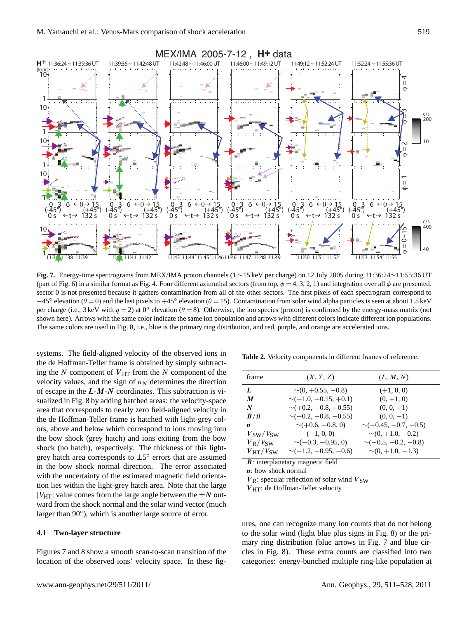

**Fig. 7.** Energy-time spectrograms from MEX/IMA proton channels (1∼15 keV per charge) on 12 July 2005 during 11:36:24∼11:55:36 UT (part of Fig. 6) in a similar format as Fig. 4. Four different azimuthal sectors (from top,  $\phi = 4, 3, 2, 1$ ) and integration over all  $\phi$  are presented. sector 0 is not presented because it gathers contamination from all of the other sectors. The first pixels of each spectrogram correspond to  $-45^\circ$  elevation ( $\theta = 0$ ) and the last pixels to  $+45^\circ$  elevation ( $\theta = 15$ ). Contamination from solar wind alpha particles is seen at about 1.5 keV per charge (i.e., 3 keV with  $q = 2$ ) at 0° elevation ( $\theta = 8$ ). Otherwise, the ion species (proton) is confirmed by the energy-mass matrix (not shown here). Arrows with the same color indicate the same ion population and arrows with different colors indicate different ion populations. The same colors are used in Fig. 8, i.e., blue is the primary ring distribution, and red, purple, and orange are accelerated ions.

systems. The field-aligned velocity of the observed ions in the de Hoffman-Teller frame is obtained by simply subtracting the N component of  $V_{\text{HT}}$  from the N component of the velocity values, and the sign of  $n<sub>N</sub>$  determines the direction of escape in the  $L-M-N$  coordinates. This subtraction is visualized in Fig. 8 by adding hatched areas: the velocity-space area that corresponds to nearly zero field-aligned velocity in the de Hoffman-Teller frame is hatched with light-grey colors, above and below which correspond to ions moving into the bow shock (grey hatch) and ions exiting from the bow shock (no hatch), respectively. The thickness of this lightgrey hatch area corresponds to  $\pm 5^{\circ}$  errors that are assumed in the bow shock normal direction. The error associated with the uncertainty of the estimated magnetic field orientation lies within the light-grey hatch area. Note that the large  $|V_{\text{HT}}|$  value comes from the large angle between the  $\pm N$  outward from the shock normal and the solar wind vector (much larger than 90°), which is another large source of error.

# **4.1 Two-layer structure**

Figures 7 and 8 show a smooth scan-to-scan transition of the location of the observed ions' velocity space. In these fig-

**Table 2.** Velocity components in different frames of reference.

| frame                         | (X, Y, Z)                  | (L, M, N)                 |
|-------------------------------|----------------------------|---------------------------|
| L                             | $\sim$ (0, +0.55, -0.8)    | $(+1, 0, 0)$              |
| M                             | $\sim(-1.0, +0.15, +0.1)$  | $(0, +1, 0)$              |
| N                             | $\sim$ (+0.2, +0.8, +0.55) | $(0, 0, +1)$              |
| B/B                           | $\sim(-0.2, -0.8, -0.55)$  | $(0, 0, -1)$              |
| n                             | $\sim$ (+0.6, -0.8, 0)     | $\sim(-0.45, -0.7, -0.5)$ |
| $V_{\rm SW}/V_{\rm SW}$       | $(-1, 0, 0)$               | $\sim$ (0, +1.0, -0.2)    |
| $V_{\rm R}/V_{\rm SW}$        | $\sim(-0.3, -0.95, 0)$     | $\sim(-0.5, +0.2, -0.8)$  |
| $V_{\text{HT}}/V_{\text{SW}}$ | $\sim(-1.2, -0.95, -0.6)$  | $\sim$ (0, +1.0, -1.3)    |

B: interplanetary magnetic field

n: bow shock normal

 $V_{\rm R}$ : specular reflection of solar wind  $V_{\rm SW}$ 

 $V_{\text{HT}}$ : de Hoffman-Teller velocity

ures, one can recognize many ion counts that do not belong to the solar wind (light blue plus signs in Fig. 8) or the primary ring distribution (blue arrows in Fig. 7 and blue circles in Fig. 8). These extra counts are classified into two categories: energy-bunched multiple ring-like population at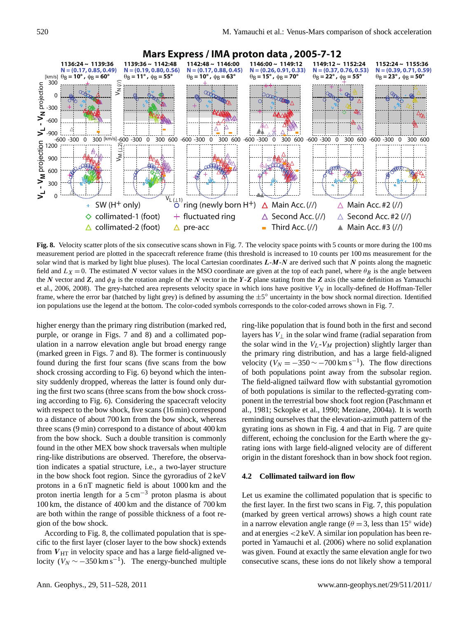

**Fig. 8.** Velocity scatter plots of the six consecutive scans shown in Fig. 7. The velocity space points with 5 counts or more during the 100 ms measurement period are plotted in the spacecraft reference frame (this threshold is increased to 10 counts per 100 ms measurement for the solar wind that is marked by light blue pluses). The local Cartesian coordinates  $L-M-N$  are derived such that  $N$  points along the magnetic field and  $L_X = 0$ . The estimated N vector values in the MSO coordinate are given at the top of each panel, where  $\theta_B$  is the angle between the N vector and Z, and  $\phi_B$  is the rotation angle of the N vector in the Y-Z plane stating from the Z axis (the same definition as Yamauchi et al., 2006, 2008). The grey-hatched area represents velocity space in which ions have positive  $V_N$  in locally-defined de Hoffman-Teller frame, where the error bar (hatched by light grey) is defined by assuming the  $\pm 5^{\circ}$  uncertainty in the bow shock normal direction. Identified ion populations use the legend at the bottom. The color-coded symbols corresponds to the color-coded arrows shown in Fig. 7.

higher energy than the primary ring distribution (marked red, purple, or orange in Figs. 7 and 8) and a collimated population in a narrow elevation angle but broad energy range (marked green in Figs. 7 and 8). The former is continuously found during the first four scans (five scans from the bow shock crossing according to Fig. 6) beyond which the intensity suddenly dropped, whereas the latter is found only during the first two scans (three scans from the bow shock crossing according to Fig. 6). Considering the spacecraft velocity with respect to the bow shock, five scans (16 min) correspond to a distance of about 700 km from the bow shock, whereas three scans (9 min) correspond to a distance of about 400 km from the bow shock. Such a double transition is commonly found in the other MEX bow shock traversals when multiple ring-like distributions are observed. Therefore, the observation indicates a spatial structure, i.e., a two-layer structure in the bow shock foot region. Since the gyroradius of 2 keV protons in a 6 nT magnetic field is about 1000 km and the proton inertia length for a  $5 \text{ cm}^{-3}$  proton plasma is about 100 km, the distance of 400 km and the distance of 700 km are both within the range of possible thickness of a foot region of the bow shock.

According to Fig. 8, the collimated population that is specific to the first layer (closer layer to the bow shock) extends from  $V_{\text{HT}}$  in velocity space and has a large field-aligned velocity ( $V_N \sim -350 \,\mathrm{km \,s}^{-1}$ ). The energy-bunched multiple

ring-like population that is found both in the first and second layers has  $V_{\perp}$  in the solar wind frame (radial separation from the solar wind in the  $V_L$ - $V_M$  projection) slightly larger than the primary ring distribution, and has a large field-aligned velocity ( $V_N = -350 \sim -700 \text{ km s}^{-1}$ ). The flow directions of both populations point away from the subsolar region. The field-aligned tailward flow with substantial gyromotion of both populations is similar to the reflected-gyrating component in the terrestrial bow shock foot region (Paschmann et al., 1981; Sckopke et al., 1990; Meziane, 2004a). It is worth reminding ourselves that the elevation-azimuth pattern of the gyrating ions as shown in Fig. 4 and that in Fig. 7 are quite different, echoing the conclusion for the Earth where the gyrating ions with large field-aligned velocity are of different origin in the distant foreshock than in bow shock foot region.

# **4.2 Collimated tailward ion flow**

Let us examine the collimated population that is specific to the first layer. In the first two scans in Fig. 7, this population (marked by green vertical arrows) shows a high count rate in a narrow elevation angle range ( $\theta = 3$ , less than 15<sup>°</sup> wide) and at energies <2 keV. A similar ion population has been reported in Yamauchi et al. (2006) where no solid explanation was given. Found at exactly the same elevation angle for two consecutive scans, these ions do not likely show a temporal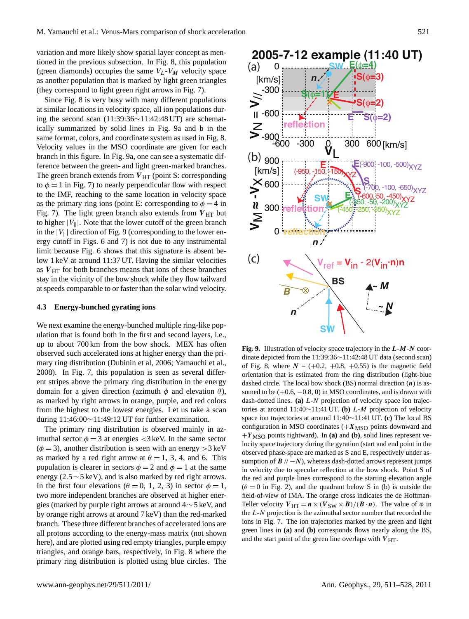variation and more likely show spatial layer concept as mentioned in the previous subsection. In Fig. 8, this population (green diamonds) occupies the same  $V_L$ - $V_M$  velocity space as another population that is marked by light green triangles (they correspond to light green right arrows in Fig. 7).

Since Fig. 8 is very busy with many different populations at similar locations in velocity space, all ion populations during the second scan (11:39:36∼11:42:48 UT) are schematically summarized by solid lines in Fig. 9a and b in the same format, colors, and coordinate system as used in Fig. 8. Velocity values in the MSO coordinate are given for each branch in this figure. In Fig. 9a, one can see a systematic difference between the green- and light green-marked branches. The green branch extends from  $V_{\text{HT}}$  (point S: corresponding to  $\phi = 1$  in Fig. 7) to nearly perpendicular flow with respect to the IMF, reaching to the same location in velocity space as the primary ring ions (point E: corresponding to  $\phi = 4$  in Fig. 7). The light green branch also extends from  $V_{\text{HT}}$  but to higher  $|V_{\parallel}|$ . Note that the lower cutoff of the green branch in the  $|V_{\parallel}|$  direction of Fig. 9 (corresponding to the lower energy cutoff in Figs. 6 and 7) is not due to any instrumental limit because Fig. 6 shows that this signature is absent below 1 keV at around 11:37 UT. Having the similar velocities as  $V_{\text{HT}}$  for both branches means that ions of these branches stay in the vicinity of the bow shock while they flow tailward at speeds comparable to or faster than the solar wind velocity.

# **4.3 Energy-bunched gyrating ions**

We next examine the energy-bunched multiple ring-like population that is found both in the first and second layers, i.e., up to about 700 km from the bow shock. MEX has often observed such accelerated ions at higher energy than the primary ring distribution (Dubinin et al, 2006; Yamauchi et al., 2008). In Fig. 7, this population is seen as several different stripes above the primary ring distribution in the energy domain for a given direction (azimuth  $\phi$  and elevation  $\theta$ ), as marked by right arrows in orange, purple, and red colors from the highest to the lowest energies. Let us take a scan during 11:46:00∼11:49:12 UT for further examination.

The primary ring distribution is observed mainly in azimuthal sector  $\phi = 3$  at energies <3 keV. In the same sector  $(\phi = 3)$ , another distribution is seen with an energy  $> 3 \text{ keV}$ as marked by a red right arrow at  $\theta = 1, 3, 4$ , and 6. This population is clearer in sectors  $\phi = 2$  and  $\phi = 1$  at the same energy (2.5∼5 keV), and is also marked by red right arrows. In the first four elevations ( $\theta = 0, 1, 2, 3$ ) in sector  $\phi = 1$ , two more independent branches are observed at higher energies (marked by purple right arrows at around 4∼5 keV, and by orange right arrows at around 7 keV) than the red-marked branch. These three different branches of accelerated ions are all protons according to the energy-mass matrix (not shown here), and are plotted using red empty triangles, purple empty triangles, and orange bars, respectively, in Fig. 8 where the primary ring distribution is plotted using blue circles. The



Fig. 9. Illustration of velocity space trajectory in the  $L-M-N$  coordinate depicted from the 11:39:36∼11:42:48 UT data (second scan) of Fig. 8, where  $N = (+0.2, +0.8, +0.55)$  is the magnetic field orientation that is estimated from the ring distribution (light-blue dashed circle. The local bow shock (BS) normal direction  $(n)$  is assumed to be  $(+0.6, -0.8, 0)$  in MSO coordinates, and is drawn with dash-dotted lines. **(a)** L-N projection of velocity space ion trajectories at around 11:40∼11:41 UT. **(b)** L-M projection of velocity space ion trajectories at around 11:40∼11:41 UT. **(c)** The local BS configuration in MSO coordinates  $(+X_{\rm MSO})$  points downward and  $+Y_{\text{MSO}}$  points rightward). In (a) and (b), solid lines represent velocity space trajectory during the gyration (start and end point in the observed phase-space are marked as S and E, respectively under assumption of  $B$  //  $-N$ ), whereas dash-dotted arrows represent jumps in velocity due to specular reflection at the bow shock. Point S of the red and purple lines correspond to the starting elevation angle  $(\theta = 0$  in Fig. 2), and the quadrant below S in (b) is outside the field-of-view of IMA. The orange cross indicates the de Hoffman-Teller velocity  $V_{\text{HT}} = n \times (V_{\text{SW}} \times B)/(B \cdot n)$ . The value of  $\phi$  in the L-N projection is the azimuthal sector number that recorded the ions in Fig. 7. The ion trajectories marked by the green and light green lines in **(a)** and **(b)** corresponds flows nearly along the BS, and the start point of the green line overlaps with  $V_{\text{HT}}$ .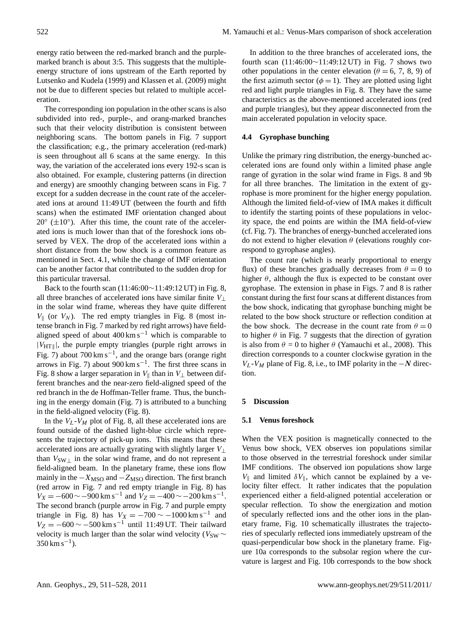energy ratio between the red-marked branch and the purplemarked branch is about 3:5. This suggests that the multipleenergy structure of ions upstream of the Earth reported by Lutsenko and Kudela (1999) and Klassen et al. (2009) might not be due to different species but related to multiple acceleration.

The corresponding ion population in the other scans is also subdivided into red-, purple-, and orang-marked branches such that their velocity distribution is consistent between neighboring scans. The bottom panels in Fig. 7 support the classification; e.g., the primary acceleration (red-mark) is seen throughout all 6 scans at the same energy. In this way, the variation of the accelerated ions every 192-s scan is also obtained. For example, clustering patterns (in direction and energy) are smoothly changing between scans in Fig. 7 except for a sudden decrease in the count rate of the accelerated ions at around 11:49 UT (between the fourth and fifth scans) when the estimated IMF orientation changed about  $20^\circ$  ( $\pm 10^\circ$ ). After this time, the count rate of the accelerated ions is much lower than that of the foreshock ions observed by VEX. The drop of the accelerated ions within a short distance from the bow shock is a common feature as mentioned in Sect. 4.1, while the change of IMF orientation can be another factor that contributed to the sudden drop for this particular traversal.

Back to the fourth scan (11:46:00∼11:49:12 UT) in Fig. 8, all three branches of accelerated ions have similar finite  $V_{\perp}$ in the solar wind frame, whereas they have quite different  $V_{\parallel}$  (or  $V_N$ ). The red empty triangles in Fig. 8 (most intense branch in Fig. 7 marked by red right arrows) have fieldaligned speed of about  $400 \text{ km s}^{-1}$  which is comparable to  $|V_{\text{HT}}|$ , the purple empty triangles (purple right arrows in Fig. 7) about  $700 \text{ km s}^{-1}$ , and the orange bars (orange right arrows in Fig. 7) about  $900 \text{ km s}^{-1}$ . The first three scans in Fig. 8 show a larger separation in  $V_{\parallel}$  than in  $V_{\perp}$  between different branches and the near-zero field-aligned speed of the red branch in the de Hoffman-Teller frame. Thus, the bunching in the energy domain (Fig. 7) is attributed to a bunching in the field-aligned velocity (Fig. 8).

In the  $V_L$ - $V_M$  plot of Fig. 8, all these accelerated ions are found outside of the dashed light-blue circle which represents the trajectory of pick-up ions. This means that these accelerated ions are actually gyrating with slightly larger  $V_{\perp}$ than  $V_{SW\perp}$  in the solar wind frame, and do not represent a field-aligned beam. In the planetary frame, these ions flow mainly in the  $-X_{\rm MSO}$  and  $-Z_{\rm MSO}$  direction. The first branch (red arrow in Fig. 7 and red empty triangle in Fig. 8) has  $V_X = -600 \sim -900 \text{ km s}^{-1}$  and  $V_Z = -400 \sim -200 \text{ km s}^{-1}$ . The second branch (purple arrow in Fig. 7 and purple empty triangle in Fig. 8) has  $V_X = -700 \sim -1000 \text{ km s}^{-1}$  and  $V_Z = -600 \sim -500 \text{ km s}^{-1}$  until 11:49 UT. Their tailward velocity is much larger than the solar wind velocity ( $V_{SW}$  ∼  $350 \,\mathrm{km\,s^{-1}}$ ).

In addition to the three branches of accelerated ions, the fourth scan (11:46:00∼11:49:12 UT) in Fig. 7 shows two other populations in the center elevation ( $\theta = 6, 7, 8, 9$ ) of the first azimuth sector ( $\phi = 1$ ). They are plotted using light red and light purple triangles in Fig. 8. They have the same characteristics as the above-mentioned accelerated ions (red and purple triangles), but they appear disconnected from the main accelerated population in velocity space.

# **4.4 Gyrophase bunching**

Unlike the primary ring distribution, the energy-bunched accelerated ions are found only within a limited phase angle range of gyration in the solar wind frame in Figs. 8 and 9b for all three branches. The limitation in the extent of gyrophase is more prominent for the higher energy population. Although the limited field-of-view of IMA makes it difficult to identify the starting points of these populations in velocity space, the end points are within the IMA field-of-view (cf. Fig. 7). The branches of energy-bunched accelerated ions do not extend to higher elevation  $\theta$  (elevations roughly correspond to gyrophase angles).

The count rate (which is nearly proportional to energy flux) of these branches gradually decreases from  $\theta = 0$  to higher  $\theta$ , although the flux is expected to be constant over gyrophase. The extension in phase in Figs. 7 and 8 is rather constant during the first four scans at different distances from the bow shock, indicating that gyrophase bunching might be related to the bow shock structure or reflection condition at the bow shock. The decrease in the count rate from  $\theta = 0$ to higher  $\theta$  in Fig. 7 suggests that the direction of gyration is also from  $\theta = 0$  to higher  $\theta$  (Yamauchi et al., 2008). This direction corresponds to a counter clockwise gyration in the  $V_L$ - $V_M$  plane of Fig. 8, i.e., to IMF polarity in the  $-N$  direction.

#### **5 Discussion**

#### **5.1 Venus foreshock**

When the VEX position is magnetically connected to the Venus bow shock, VEX observes ion populations similar to those observed in the terrestrial foreshock under similar IMF conditions. The observed ion populations show large  $V_{\parallel}$  and limited  $\delta V_{\parallel}$ , which cannot be explained by a velocity filter effect. It rather indicates that the population experienced either a field-aligned potential acceleration or specular reflection. To show the energization and motion of specularly reflected ions and the other ions in the planetary frame, Fig. 10 schematically illustrates the trajectories of specularly reflected ions immediately upstream of the quasi-perpendicular bow shock in the planetary frame. Figure 10a corresponds to the subsolar region where the curvature is largest and Fig. 10b corresponds to the bow shock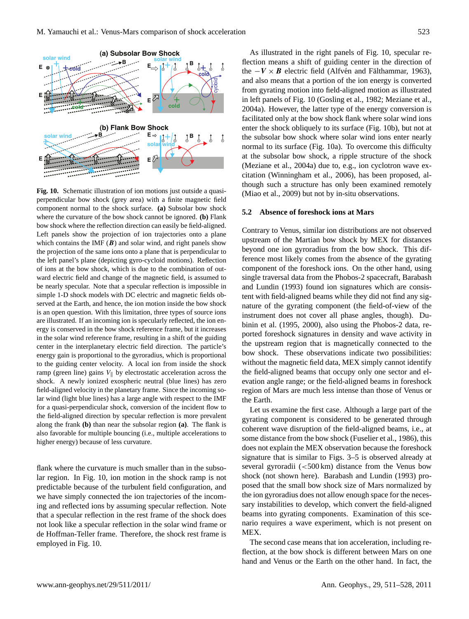

**Fig. 10.** Schematic illustration of ion motions just outside a quasiperpendicular bow shock (grey area) with a finite magnetic field component normal to the shock surface. **(a)** Subsolar bow shock where the curvature of the bow shock cannot be ignored. **(b)** Flank bow shock where the reflection direction can easily be field-aligned. Left panels show the projection of ion trajectories onto a plane which contains the IMF  $(B)$  and solar wind, and right panels show the projection of the same ions onto a plane that is perpendicular to the left panel's plane (depicting gyro-cycloid motions). Reflection of ions at the bow shock, which is due to the combination of outward electric field and change of the magnetic field, is assumed to be nearly specular. Note that a specular reflection is impossible in simple 1-D shock models with DC electric and magnetic fields observed at the Earth, and hence, the ion motion inside the bow shock is an open question. With this limitation, three types of source ions are illustrated. If an incoming ion is specularly reflected, the ion energy is conserved in the bow shock reference frame, but it increases in the solar wind reference frame, resulting in a shift of the guiding center in the interplanetary electric field direction. The particle's energy gain is proportional to the gyroradius, which is proportional to the guiding center velocity. A local ion from inside the shock ramp (green line) gains  $V_{\parallel}$  by electrostatic acceleration across the shock. A newly ionized exospheric neutral (blue lines) has zero field-aligned velocity in the planetary frame. Since the incoming solar wind (light blue lines) has a large angle with respect to the IMF for a quasi-perpendicular shock, conversion of the incident flow to the field-aligned direction by specular reflection is more prevalent along the frank **(b)** than near the subsolar region **(a)**. The flank is also favorable for multiple bouncing (i.e., multiple accelerations to higher energy) because of less curvature.

flank where the curvature is much smaller than in the subsolar region. In Fig. 10, ion motion in the shock ramp is not predictable because of the turbulent field configuration, and we have simply connected the ion trajectories of the incoming and reflected ions by assuming specular reflection. Note that a specular reflection in the rest frame of the shock does not look like a specular reflection in the solar wind frame or de Hoffman-Teller frame. Therefore, the shock rest frame is employed in Fig. 10.

As illustrated in the right panels of Fig. 10, specular reflection means a shift of guiding center in the direction of the  $-V \times B$  electric field (Alfvén and Fälthammar, 1963), and also means that a portion of the ion energy is converted from gyrating motion into field-aligned motion as illustrated in left panels of Fig. 10 (Gosling et al., 1982; Meziane et al., 2004a). However, the latter type of the energy conversion is facilitated only at the bow shock flank where solar wind ions enter the shock obliquely to its surface (Fig. 10b), but not at the subsolar bow shock where solar wind ions enter nearly normal to its surface (Fig. 10a). To overcome this difficulty at the subsolar bow shock, a ripple structure of the shock (Meziane et al., 2004a) due to, e.g., ion cyclotron wave excitation (Winningham et al., 2006), has been proposed, although such a structure has only been examined remotely (Miao et al., 2009) but not by in-situ observations.

#### **5.2 Absence of foreshock ions at Mars**

Contrary to Venus, similar ion distributions are not observed upstream of the Martian bow shock by MEX for distances beyond one ion gyroradius from the bow shock. This difference most likely comes from the absence of the gyrating component of the foreshock ions. On the other hand, using single traversal data from the Phobos-2 spacecraft, Barabash and Lundin (1993) found ion signatures which are consistent with field-aligned beams while they did not find any signature of the gyrating component (the field-of-view of the instrument does not cover all phase angles, though). Dubinin et al. (1995, 2000), also using the Phobos-2 data, reported foreshock signatures in density and wave activity in the upstream region that is magnetically connected to the bow shock. These observations indicate two possibilities: without the magnetic field data, MEX simply cannot identify the field-aligned beams that occupy only one sector and elevation angle range; or the field-aligned beams in foreshock region of Mars are much less intense than those of Venus or the Earth.

Let us examine the first case. Although a large part of the gyrating component is considered to be generated through coherent wave disruption of the field-aligned beams, i.e., at some distance from the bow shock (Fuselier et al., 1986), this does not explain the MEX observation because the foreshock signature that is similar to Figs. 3–5 is observed already at several gyroradii (<500 km) distance from the Venus bow shock (not shown here). Barabash and Lundin (1993) proposed that the small bow shock size of Mars normalized by the ion gyroradius does not allow enough space for the necessary instabilities to develop, which convert the field-aligned beams into gyrating components. Examination of this scenario requires a wave experiment, which is not present on MEX.

The second case means that ion acceleration, including reflection, at the bow shock is different between Mars on one hand and Venus or the Earth on the other hand. In fact, the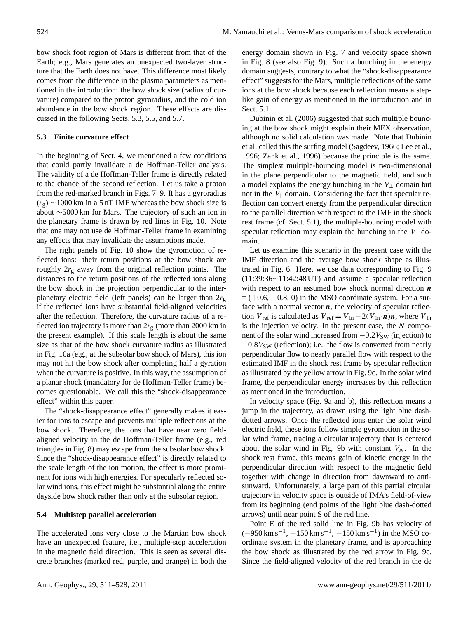bow shock foot region of Mars is different from that of the Earth; e.g., Mars generates an unexpected two-layer structure that the Earth does not have. This difference most likely comes from the difference in the plasma parameters as mentioned in the introduction: the bow shock size (radius of curvature) compared to the proton gyroradius, and the cold ion abundance in the bow shock region. These effects are discussed in the following Sects. 5.3, 5.5, and 5.7.

# **5.3 Finite curvature effect**

In the beginning of Sect. 4, we mentioned a few conditions that could partly invalidate a de Hoffman-Teller analysis. The validity of a de Hoffman-Teller frame is directly related to the chance of the second reflection. Let us take a proton from the red-marked branch in Figs. 7–9. It has a gyroradius  $(r_g) \sim 1000 \text{ km}$  in a 5 nT IMF whereas the bow shock size is about ∼5000 km for Mars. The trajectory of such an ion in the planetary frame is drawn by red lines in Fig. 10. Note that one may not use de Hoffman-Teller frame in examining any effects that may invalidate the assumptions made.

The right panels of Fig. 10 show the gyromotion of reflected ions: their return positions at the bow shock are roughly  $2r_g$  away from the original reflection points. The distances to the return positions of the reflected ions along the bow shock in the projection perpendicular to the interplanetary electric field (left panels) can be larger than  $2r_g$ if the reflected ions have substantial field-aligned velocities after the reflection. Therefore, the curvature radius of a reflected ion trajectory is more than  $2r_g$  (more than 2000 km in the present example). If this scale length is about the same size as that of the bow shock curvature radius as illustrated in Fig. 10a (e.g., at the subsolar bow shock of Mars), this ion may not hit the bow shock after completing half a gyration when the curvature is positive. In this way, the assumption of a planar shock (mandatory for de Hoffman-Teller frame) becomes questionable. We call this the "shock-disappearance effect" within this paper.

The "shock-disappearance effect" generally makes it easier for ions to escape and prevents multiple reflections at the bow shock. Therefore, the ions that have near zero fieldaligned velocity in the de Hoffman-Teller frame (e.g., red triangles in Fig. 8) may escape from the subsolar bow shock. Since the "shock-disappearance effect" is directly related to the scale length of the ion motion, the effect is more prominent for ions with high energies. For specularly reflected solar wind ions, this effect might be substantial along the entire dayside bow shock rather than only at the subsolar region.

# **5.4 Multistep parallel acceleration**

The accelerated ions very close to the Martian bow shock have an unexpected feature, i.e., multiple-step acceleration in the magnetic field direction. This is seen as several discrete branches (marked red, purple, and orange) in both the energy domain shown in Fig. 7 and velocity space shown in Fig. 8 (see also Fig. 9). Such a bunching in the energy domain suggests, contrary to what the "shock-disappearance effect" suggests for the Mars, multiple reflections of the same ions at the bow shock because each reflection means a steplike gain of energy as mentioned in the introduction and in Sect. 5.1.

Dubinin et al. (2006) suggested that such multiple bouncing at the bow shock might explain their MEX observation, although no solid calculation was made. Note that Dubinin et al. called this the surfing model (Sagdeev, 1966; Lee et al., 1996; Zank et al., 1996) because the principle is the same. The simplest multiple-bouncing model is two-dimensional in the plane perpendicular to the magnetic field, and such a model explains the energy bunching in the  $V_{\perp}$  domain but not in the  $V_{\parallel}$  domain. Considering the fact that specular reflection can convert energy from the perpendicular direction to the parallel direction with respect to the IMF in the shock rest frame (cf. Sect. 5.1), the multiple-bouncing model with specular reflection may explain the bunching in the  $V_{\parallel}$  domain.

Let us examine this scenario in the present case with the IMF direction and the average bow shock shape as illustrated in Fig. 6. Here, we use data corresponding to Fig. 9 (11:39:36∼11:42:48 UT) and assume a specular reflection with respect to an assumed bow shock normal direction  $n$  $= (+0.6, -0.8, 0)$  in the MSO coordinate system. For a surface with a normal vector  $n$ , the velocity of specular reflection  $V_{\text{ref}}$  is calculated as  $V_{\text{ref}} = V_{\text{in}} - 2(V_{\text{in}} \cdot n)n$ , where  $V_{\text{in}}$ is the injection velocity. In the present case, the  $N$  component of the solar wind increased from  $-0.2V_{SW}$  (injection) to  $-0.8V_{SW}$  (reflection); i.e., the flow is converted from nearly perpendicular flow to nearly parallel flow with respect to the estimated IMF in the shock rest frame by specular reflection as illustrated by the yellow arrow in Fig. 9c. In the solar wind frame, the perpendicular energy increases by this reflection as mentioned in the introduction.

In velocity space (Fig. 9a and b), this reflection means a jump in the trajectory, as drawn using the light blue dashdotted arrows. Once the reflected ions enter the solar wind electric field, these ions follow simple gyromotion in the solar wind frame, tracing a circular trajectory that is centered about the solar wind in Fig. 9b with constant  $V_N$ . In the shock rest frame, this means gain of kinetic energy in the perpendicular direction with respect to the magnetic field together with change in direction from dawnward to antisunward. Unfortunately, a large part of this partial circular trajectory in velocity space is outside of IMA's field-of-view from its beginning (end points of the light blue dash-dotted arrows) until near point S of the red line.

Point E of the red solid line in Fig. 9b has velocity of  $(-950 \text{ km s}^{-1}, -150 \text{ km s}^{-1}, -150 \text{ km s}^{-1})$  in the MSO coordinate system in the planetary frame, and is approaching the bow shock as illustrated by the red arrow in Fig. 9c. Since the field-aligned velocity of the red branch in the de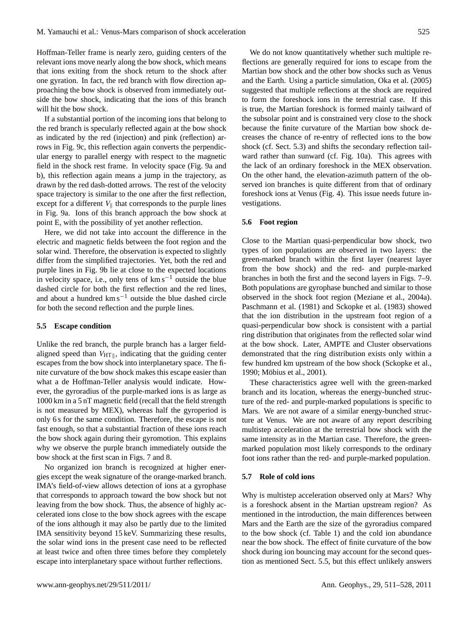Hoffman-Teller frame is nearly zero, guiding centers of the relevant ions move nearly along the bow shock, which means that ions exiting from the shock return to the shock after one gyration. In fact, the red branch with flow direction approaching the bow shock is observed from immediately outside the bow shock, indicating that the ions of this branch will hit the bow shock.

If a substantial portion of the incoming ions that belong to the red branch is specularly reflected again at the bow shock as indicated by the red (injection) and pink (reflection) arrows in Fig. 9c, this reflection again converts the perpendicular energy to parallel energy with respect to the magnetic field in the shock rest frame. In velocity space (Fig. 9a and b), this reflection again means a jump in the trajectory, as drawn by the red dash-dotted arrows. The rest of the velocity space trajectory is similar to the one after the first reflection, except for a different  $V_{\parallel}$  that corresponds to the purple lines in Fig. 9a. Ions of this branch approach the bow shock at point E, with the possibility of yet another reflection.

Here, we did not take into account the difference in the electric and magnetic fields between the foot region and the solar wind. Therefore, the observation is expected to slightly differ from the simplified trajectories. Yet, both the red and purple lines in Fig. 9b lie at close to the expected locations in velocity space, i.e., only tens of  $km s^{-1}$  outside the blue dashed circle for both the first reflection and the red lines, and about a hundred  $km s^{-1}$  outside the blue dashed circle for both the second reflection and the purple lines.

#### **5.5 Escape condition**

Unlike the red branch, the purple branch has a larger fieldaligned speed than  $V_{\text{HT}\parallel}$ , indicating that the guiding center escapes from the bow shock into interplanetary space. The finite curvature of the bow shock makes this escape easier than what a de Hoffman-Teller analysis would indicate. However, the gyroradius of the purple-marked ions is as large as 1000 km in a 5 nT magnetic field (recall that the field strength is not measured by MEX), whereas half the gyroperiod is only 6 s for the same condition. Therefore, the escape is not fast enough, so that a substantial fraction of these ions reach the bow shock again during their gyromotion. This explains why we observe the purple branch immediately outside the bow shock at the first scan in Figs. 7 and 8.

No organized ion branch is recognized at higher energies except the weak signature of the orange-marked branch. IMA's field-of-view allows detection of ions at a gyrophase that corresponds to approach toward the bow shock but not leaving from the bow shock. Thus, the absence of highly accelerated ions close to the bow shock agrees with the escape of the ions although it may also be partly due to the limited IMA sensitivity beyond 15 keV. Summarizing these results, the solar wind ions in the present case need to be reflected at least twice and often three times before they completely escape into interplanetary space without further reflections.

We do not know quantitatively whether such multiple reflections are generally required for ions to escape from the Martian bow shock and the other bow shocks such as Venus and the Earth. Using a particle simulation, Oka et al. (2005) suggested that multiple reflections at the shock are required to form the foreshock ions in the terrestrial case. If this is true, the Martian foreshock is formed mainly tailward of the subsolar point and is constrained very close to the shock because the finite curvature of the Martian bow shock decreases the chance of re-entry of reflected ions to the bow shock (cf. Sect. 5.3) and shifts the secondary reflection tailward rather than sunward (cf. Fig. 10a). This agrees with the lack of an ordinary foreshock in the MEX observation. On the other hand, the elevation-azimuth pattern of the observed ion branches is quite different from that of ordinary foreshock ions at Venus (Fig. 4). This issue needs future investigations.

# **5.6 Foot region**

Close to the Martian quasi-perpendicular bow shock, two types of ion populations are observed in two layers: the green-marked branch within the first layer (nearest layer from the bow shock) and the red- and purple-marked branches in both the first and the second layers in Figs. 7–9. Both populations are gyrophase bunched and similar to those observed in the shock foot region (Meziane et al., 2004a). Paschmann et al. (1981) and Sckopke et al. (1983) showed that the ion distribution in the upstream foot region of a quasi-perpendicular bow shock is consistent with a partial ring distribution that originates from the reflected solar wind at the bow shock. Later, AMPTE and Cluster observations demonstrated that the ring distribution exists only within a few hundred km upstream of the bow shock (Sckopke et al., 1990; Möbius et al., 2001).

These characteristics agree well with the green-marked branch and its location, whereas the energy-bunched structure of the red- and purple-marked populations is specific to Mars. We are not aware of a similar energy-bunched structure at Venus. We are not aware of any report describing multistep acceleration at the terrestrial bow shock with the same intensity as in the Martian case. Therefore, the greenmarked population most likely corresponds to the ordinary foot ions rather than the red- and purple-marked population.

# **5.7 Role of cold ions**

Why is multistep acceleration observed only at Mars? Why is a foreshock absent in the Martian upstream region? As mentioned in the introduction, the main differences between Mars and the Earth are the size of the gyroradius compared to the bow shock (cf. Table 1) and the cold ion abundance near the bow shock. The effect of finite curvature of the bow shock during ion bouncing may account for the second question as mentioned Sect. 5.5, but this effect unlikely answers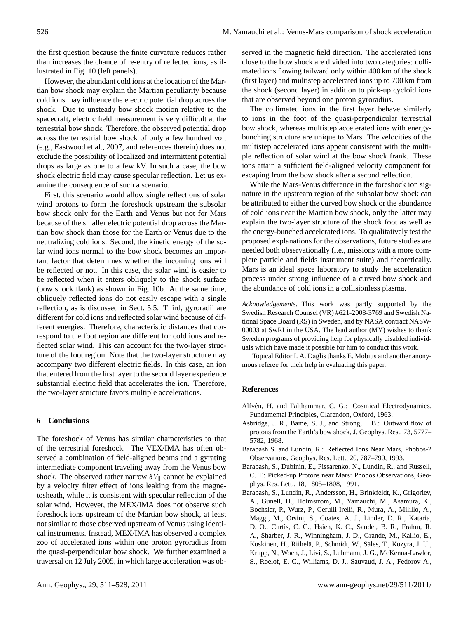the first question because the finite curvature reduces rather than increases the chance of re-entry of reflected ions, as illustrated in Fig. 10 (left panels).

However, the abundant cold ions at the location of the Martian bow shock may explain the Martian peculiarity because cold ions may influence the electric potential drop across the shock. Due to unsteady bow shock motion relative to the spacecraft, electric field measurement is very difficult at the terrestrial bow shock. Therefore, the observed potential drop across the terrestrial bow shock of only a few hundred volt (e.g., Eastwood et al., 2007, and references therein) does not exclude the possibility of localized and intermittent potential drops as large as one to a few kV. In such a case, the bow shock electric field may cause specular reflection. Let us examine the consequence of such a scenario.

First, this scenario would allow single reflections of solar wind protons to form the foreshock upstream the subsolar bow shock only for the Earth and Venus but not for Mars because of the smaller electric potential drop across the Martian bow shock than those for the Earth or Venus due to the neutralizing cold ions. Second, the kinetic energy of the solar wind ions normal to the bow shock becomes an important factor that determines whether the incoming ions will be reflected or not. In this case, the solar wind is easier to be reflected when it enters obliquely to the shock surface (bow shock flank) as shown in Fig. 10b. At the same time, obliquely reflected ions do not easily escape with a single reflection, as is discussed in Sect. 5.5. Third, gyroradii are different for cold ions and reflected solar wind because of different energies. Therefore, characteristic distances that correspond to the foot region are different for cold ions and reflected solar wind. This can account for the two-layer structure of the foot region. Note that the two-layer structure may accompany two different electric fields. In this case, an ion that entered from the first layer to the second layer experience substantial electric field that accelerates the ion. Therefore, the two-layer structure favors multiple accelerations.

# **6 Conclusions**

The foreshock of Venus has similar characteristics to that of the terrestrial foreshock. The VEX/IMA has often observed a combination of field-aligned beams and a gyrating intermediate component traveling away from the Venus bow shock. The observed rather narrow  $\delta V_{\parallel}$  cannot be explained by a velocity filter effect of ions leaking from the magnetosheath, while it is consistent with specular reflection of the solar wind. However, the MEX/IMA does not observe such foreshock ions upstream of the Martian bow shock, at least not similar to those observed upstream of Venus using identical instruments. Instead, MEX/IMA has observed a complex zoo of accelerated ions within one proton gyroradius from the quasi-perpendicular bow shock. We further examined a traversal on 12 July 2005, in which large acceleration was ob-

served in the magnetic field direction. The accelerated ions close to the bow shock are divided into two categories: collimated ions flowing tailward only within 400 km of the shock (first layer) and multistep accelerated ions up to 700 km from the shock (second layer) in addition to pick-up cycloid ions that are observed beyond one proton gyroradius.

The collimated ions in the first layer behave similarly to ions in the foot of the quasi-perpendicular terrestrial bow shock, whereas multistep accelerated ions with energybunching structure are unique to Mars. The velocities of the multistep accelerated ions appear consistent with the multiple reflection of solar wind at the bow shock frank. These ions attain a sufficient field-aligned velocity component for escaping from the bow shock after a second reflection.

While the Mars-Venus difference in the foreshock ion signature in the upstream region of the subsolar bow shock can be attributed to either the curved bow shock or the abundance of cold ions near the Martian bow shock, only the latter may explain the two-layer structure of the shock foot as well as the energy-bunched accelerated ions. To qualitatively test the proposed explanations for the observations, future studies are needed both observationally (i.e., missions with a more complete particle and fields instrument suite) and theoretically. Mars is an ideal space laboratory to study the acceleration process under strong influence of a curved bow shock and the abundance of cold ions in a collisionless plasma.

*Acknowledgements.* This work was partly supported by the Swedish Research Counsel (VR) #621-2008-3769 and Swedish National Space Board (RS) in Sweden, and by NASA contract NASW-00003 at SwRI in the USA. The lead author (MY) wishes to thank Sweden programs of providing help for physically disabled individuals which have made it possible for him to conduct this work.

Topical Editor I. A. Daglis thanks E. Möbius and another anonymous referee for their help in evaluating this paper.

#### **References**

- Alfvén, H. and Fälthammar, C. G.: Cosmical Electrodynamics, Fundamental Principles, Clarendon, Oxford, 1963.
- Asbridge, J. R., Bame, S. J., and Strong, I. B.: Outward flow of protons from the Earth's bow shock, J. Geophys. Res., 73, 5777– 5782, 1968.
- Barabash S. and Lundin, R.: Reflected Ions Near Mars, Phobos-2 Observations, Geophys. Res. Lett., 20, 787–790, 1993.
- Barabash, S., Dubinin, E., Pissarenko, N., Lundin, R., and Russell, C. T.: Picked-up Protons near Mars: Phobos Observations, Geophys. Res. Lett., 18, 1805–1808, 1991.
- Barabash, S., Lundin, R., Andersson, H., Brinkfeldt, K., Grigoriev, A., Gunell, H., Holmström, M., Yamauchi, M., Asamura, K., Bochsler, P., Wurz, P., Cerulli-Irelli, R., Mura, A., Milillo, A., Maggi, M., Orsini, S., Coates, A. J., Linder, D. R., Kataria, D. O., Curtis, C. C., Hsieh, K. C., Sandel, B. R., Frahm, R. A., Sharber, J. R., Winningham, J. D., Grande, M., Kallio, E., Koskinen, H., Riihelä, P., Schmidt, W., Säles, T., Kozyra, J. U., Krupp, N., Woch, J., Livi, S., Luhmann, J. G., McKenna-Lawlor, S., Roelof, E. C., Williams, D. J., Sauvaud, J.-A., Fedorov A.,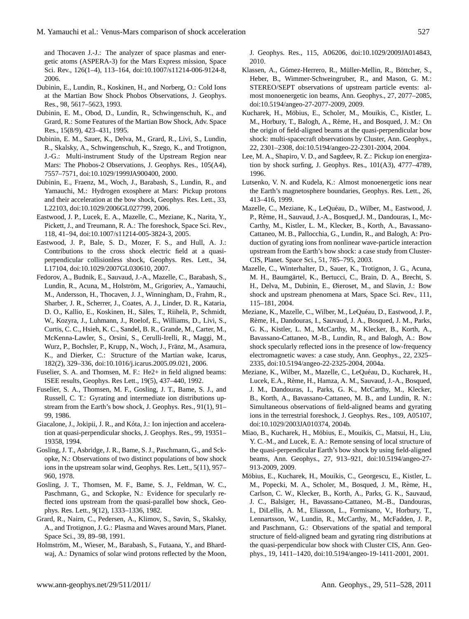and Thocaven J.-J.: The analyzer of space plasmas and energetic atoms (ASPERA-3) for the Mars Express mission, Space Sci. Rev., 126(1–4), 113–164, [doi:10.1007/s11214-006-9124-8,](http://dx.doi.org/10.1007/s11214-006-9124-8) 2006.

- Dubinin, E., Lundin, R., Koskinen, H., and Norberg, O.: Cold Ions at the Martian Bow Shock Phobos Observations, J. Geophys. Res., 98, 5617–5623, 1993.
- Dubinin, E. M., Obod, D., Lundin, R., Schwingenschuh, K., and Grard, R.: Some Features of the Martian Bow Shock, Adv. Space Res., 15(8/9), 423–431, 1995.
- Dubinin, E. M., Sauer, K., Delva, M., Grard, R., Livi, S., Lundin, R., Skalsky, A., Schwingenschuh, K., Szego, K., and Trotignon, J.-G.: Multi-instrument Study of the Upstream Region near Mars: The Phobos-2 Observations, J. Geophys. Res., 105(A4), 7557–7571, [doi:10.1029/1999JA900400,](http://dx.doi.org/10.1029/1999JA900400) 2000.
- Dubinin, E., Fraenz, M., Woch, J., Barabash, S., Lundin, R., and Yamauchi, M.: Hydrogen exosphere at Mars: Pickup protons and their acceleration at the bow shock, Geophys. Res. Lett., 33, L22103, [doi:10.1029/2006GL027799,](http://dx.doi.org/10.1029/2006GL027799) 2006.
- Eastwood, J. P., Lucek, E. A., Mazelle, C., Meziane, K., Narita, Y., Pickett, J., and Treumann, R. A.: The foreshock, Space Sci. Rev., 118, 41–94, [doi:10.1007/s11214-005-3824-3,](http://dx.doi.org/10.1007/s11214-005-3824-3) 2005.
- Eastwood, J. P., Bale, S. D., Mozer, F. S., and Hull, A. J.: Contributions to the cross shock electric field at a quasiperpendicular collisionless shock, Geophys. Res. Lett., 34, L17104, [doi:10.1029/2007GL030610,](http://dx.doi.org/10.1029/2007GL030610) 2007.
- Fedorov, A., Budnik, E., Sauvaud, J.-A., Mazelle, C., Barabash, S., Lundin, R., Acuna, M., Holström, M., Grigoriev, A., Yamauchi, M., Andersson, H., Thocaven, J. J., Winningham, D., Frahm, R., Sharber, J. R., Scherrer, J., Coates, A. J., Linder, D. R., Kataria, D. O., Kallio, E., Koskinen, H., Säles, T., Riihelä, P., Schmidt, W., Kozyra, J., Luhmann, J., Roelof, E., Williams, D., Livi, S., Curtis, C. C., Hsieh, K. C., Sandel, B. R., Grande, M., Carter, M., McKenna-Lawler, S., Orsini, S., Cerulli-Irelli, R., Maggi, M., Wurz, P., Bochsler, P., Krupp, N., Woch, J., Fränz, M., Asamura, K., and Dierker, C.: Structure of the Martian wake, Icarus, 182(2), 329–336, [doi:10.1016/j.icarus.2005.09.021,](http://dx.doi.org/10.1016/j.icarus.2005.09.021) 2006.
- Fuselier, S. A. and Thomsen, M. F.: He2+ in field aligned beams: ISEE results, Geophys. Res Lett., 19(5), 437–440, 1992.
- Fuselier, S. A., Thomsen, M. F., Gosling, J. T., Bame, S. J., and Russell, C. T.: Gyrating and intermediate ion distributions upstream from the Earth's bow shock, J. Geophys. Res., 91(1), 91– 99, 1986.
- Giacalone, J., Jokipii, J. R., and Kóta, J.: Ion injection and acceleration at quasi-perpendicular shocks, J. Geophys. Res., 99, 19351– 19358, 1994.
- Gosling, J. T., Asbridge, J. R., Bame, S. J., Paschmann, G., and Sckopke, N.: Observations of two distinct populations of bow shock ions in the upstream solar wind, Geophys. Res. Lett., 5(11), 957– 960, 1978.
- Gosling, J. T., Thomsen, M. F., Bame, S. J., Feldman, W. C., Paschmann, G., and Sckopke, N.: Evidence for specularly reflected ions upstream from the quasi-parallel bow shock, Geophys. Res. Lett., 9(12), 1333–1336, 1982.
- Grard, R., Nairn, C., Pedersen, A., Klimov, S., Savin, S., Skalsky, A., and Trotignon, J. G.: Plasma and Waves around Mars, Planet. Space Sci., 39, 89–98, 1991.
- Holmström, M., Wieser, M., Barabash, S., Futaana, Y., and Bhardwaj, A.: Dynamics of solar wind protons reflected by the Moon,

J. Geophys. Res., 115, A06206, [doi:10.1029/2009JA014843,](http://dx.doi.org/10.1029/2009JA014843) 2010.

- Klassen, A., Gómez-Herrero, R., Müller-Mellin, R., Böttcher, S., Heber, B., Wimmer-Schweingruber, R., and Mason, G. M.: STEREO/SEPT observations of upstream particle events: almost monoenergetic ion beams, Ann. Geophys., 27, 2077–2085, [doi:10.5194/angeo-27-2077-2009,](http://dx.doi.org/10.5194/angeo-27-2077-2009) 2009.
- Kucharek, H., Mobius, E., Scholer, M., Mouikis, C., Kistler, L. ¨ M., Horbury, T., Balogh, A., Réme, H., and Bosqued, J. M.: On the origin of field-aligned beams at the quasi-perpendicular bow shock: multi-spacecraft observations by Cluster, Ann. Geophys., 22, 2301–2308, [doi:10.5194/angeo-22-2301-2004,](http://dx.doi.org/10.5194/angeo-22-2301-2004) 2004.
- Lee, M. A., Shapiro, V. D., and Sagdeev, R. Z.: Pickup ion energization by shock surfing, J. Geophys. Res., 101(A3), 4777–4789, 1996.
- Lutsenko, V. N. and Kudela, K.: Almost monoenergetic ions near the Earth's magnetosphere boundaries, Geophys. Res. Lett., 26, 413–416, 1999.
- Mazelle, C., Meziane, K., LeQuéau, D., Wilber, M., Eastwood, J. P., Reme, H., Sauvaud, J.-A., Bosqued,J. M., Dandouras, I., Mc- ` Carthy, M., Kistler, L. M., Klecker, B., Korth, A., Bavassano-Cattaneo, M. B., Pallocchia, G., Lundin, R., and Balogh, A: Production of gyrating ions from nonlinear wave-particle interaction upstream from the Earth's bow shock: a case study from Cluster-CIS, Planet. Space Sci., 51, 785–795, 2003.
- Mazelle, C., Winterhalter, D., Sauer, K., Trotignon, J. G., Acuna, M. H., Baumgärtel, K., Bertucci, C., Brain, D. A., Brecht, S. H., Delva, M., Dubinin, E., Øieroset, M., and Slavin, J.: Bow shock and upstream phenomena at Mars, Space Sci. Rev., 111, 115–181, 2004.
- Meziane, K., Mazelle, C., Wilber, M., LeQuéau, D., Eastwood, J. P., Reme, H., Dandouras, I., Sauvaud, J. A., Bosqued, J. M., Parks, ` G. K., Kistler, L. M., McCarthy, M., Klecker, B., Korth, A., Bavassano-Cattaneo, M.-B., Lundin, R., and Balogh, A.: Bow shock specularly reflected ions in the presence of low-frequency electromagnetic waves: a case study, Ann. Geophys., 22, 2325– 2335, [doi:10.5194/angeo-22-2325-2004,](http://dx.doi.org/10.5194/angeo-22-2325-2004) 2004a.
- Meziane, K., Wilber, M., Mazelle, C., LeQuéau, D., Kucharek, H., Lucek, E.A., Rème, H., Hamza, A. M., Sauvaud, J.-A., Bosqued, J. M., Dandouras, I., Parks, G. K., McCarthy, M., Klecker, B., Korth, A., Bavassano-Cattaneo, M. B., and Lundin, R. N.: Simultaneous observations of field-aligned beams and gyrating ions in the terrestrial foreshock, J. Geophys. Res., 109, A05107, [doi:10.1029/2003JA010374,](http://dx.doi.org/10.1029/2003JA010374) 2004b.
- Miao, B., Kucharek, H., Mobius, E., Mouikis, C., Matsui, H., Liu, ¨ Y. C.-M., and Lucek, E. A.: Remote sensing of local structure of the quasi-perpendicular Earth's bow shock by using field-aligned beams, Ann. Geophys., 27, 913–921, [doi:10.5194/angeo-27-](http://dx.doi.org/10.5194/angeo-27-913-2009) [913-2009,](http://dx.doi.org/10.5194/angeo-27-913-2009) 2009.
- Mobius, E., Kucharek, H., Mouikis, C., Georgescu, E., Kistler, L. ¨ M., Popecki, M. A., Scholer, M., Bosqued, J. M., Reme, H., ` Carlson, C. W., Klecker, B., Korth, A., Parks, G. K., Sauvaud, J. C., Balsiger, H., Bavassano-Cattaneo, M.-B., Dandouras, I., DiLellis, A. M., Eliasson, L., Formisano, V., Horbury, T., Lennartsson, W., Lundin, R., McCarthy, M., McFadden, J. P., and Paschmann, G.: Observations of the spatial and temporal structure of field-aligned beam and gyrating ring distributions at the quasi-perpendicular bow shock with Cluster CIS, Ann. Geophys., 19, 1411–1420, [doi:10.5194/angeo-19-1411-2001,](http://dx.doi.org/10.5194/angeo-19-1411-2001) 2001.